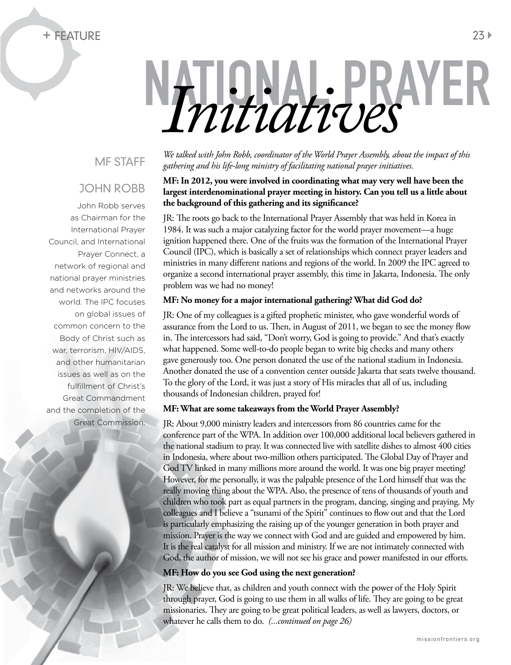### + Feature 23

# NATIONAL PRAYER **Initiated With John Robb, coordinator of the World Prayer Assembly, ab.**

## MF STAFF

## JOHN ROBB

John Robb serves as Chairman for the International Prayer Council, and International Prayer Connect, a network of regional and national prayer ministries and networks around the world. The IPC focuses on global issues of common concern to the Body of Christ such as war, terrorism, HIV/AIDS, and other humanitarian issues as well as on the fulfillment of Christ's Great Commandment and the completion of the Great Commission.

*We talked with John Robb, coordinator of the World Prayer Assembly, about the impact of this gathering and his life-long ministry of facilitating national prayer initiatives.*

#### **MF: In 2012, you were involved in coordinating what may very well have been the largest interdenominational prayer meeting in history. Can you tell us a little about the background of this gathering and its significance?**

JR: The roots go back to the International Prayer Assembly that was held in Korea in 1984. It was such a major catalyzing factor for the world prayer movement—a huge ignition happened there. One of the fruits was the formation of the International Prayer Council (IPC), which is basically a set of relationships which connect prayer leaders and ministries in many different nations and regions of the world. In 2009 the IPC agreed to organize a second international prayer assembly, this time in Jakarta, Indonesia. The only problem was we had no money!

#### **MF: No money for a major international gathering? What did God do?**

JR: One of my colleagues is a gifted prophetic minister, who gave wonderful words of assurance from the Lord to us. Then, in August of 2011, we began to see the money flow in. The intercessors had said, "Don't worry, God is going to provide." And that's exactly what happened. Some well-to-do people began to write big checks and many others gave generously too. One person donated the use of the national stadium in Indonesia. Another donated the use of a convention center outside Jakarta that seats twelve thousand. To the glory of the Lord, it was just a story of His miracles that all of us, including thousands of Indonesian children, prayed for!

#### **MF: What are some takeaways from the World Prayer Assembly?**

JR: About 9,000 ministry leaders and intercessors from 86 countries came for the conference part of the WPA. In addition over 100,000 additional local believers gathered in the national stadium to pray. It was connected live with satellite dishes to almost 400 cities in Indonesia, where about two-million others participated. The Global Day of Prayer and God TV linked in many millions more around the world. It was one big prayer meeting! However, for me personally, it was the palpable presence of the Lord himself that was the really moving thing about the WPA. Also, the presence of tens of thousands of youth and children who took part as equal partners in the program, dancing, singing and praying. My colleagues and I believe a "tsunami of the Spirit" continues to flow out and that the Lord is particularly emphasizing the raising up of the younger generation in both prayer and mission. Prayer is the way we connect with God and are guided and empowered by him. It is the real catalyst for all mission and ministry. If we are not intimately connected with God, the author of mission, we will not see his grace and power manifested in our efforts.

#### **MF: How do you see God using the next generation?**

JR: We believe that, as children and youth connect with the power of the Holy Spirit through prayer, God is going to use them in all walks of life. They are going to be great missionaries. They are going to be great political leaders, as well as lawyers, doctors, or whatever he calls them to do. *(...continued on page 26)*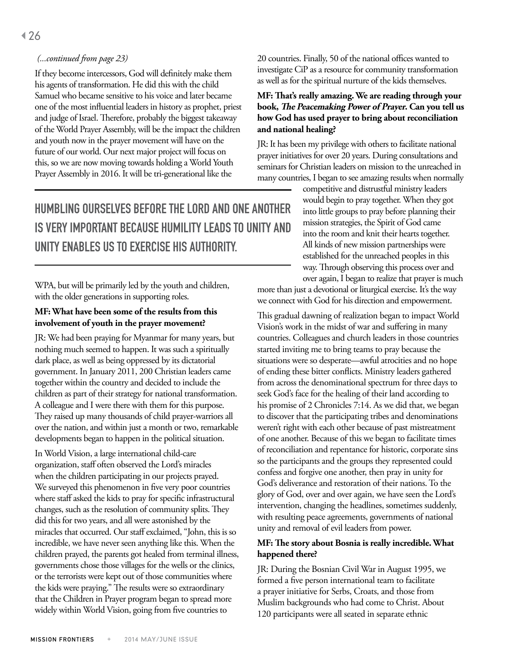#### *(...continued from page 23)*

If they become intercessors, God will definitely make them his agents of transformation. He did this with the child Samuel who became sensitive to his voice and later became one of the most influential leaders in history as prophet, priest and judge of Israel. Therefore, probably the biggest takeaway of the World Prayer Assembly, will be the impact the children and youth now in the prayer movement will have on the future of our world. Our next major project will focus on this, so we are now moving towards holding a World Youth Prayer Assembly in 2016. It will be tri-generational like the

Humbling ourselves before the Lord and one another is very important because humility leads to unity and unity enables us to exercise His authority.

WPA, but will be primarily led by the youth and children, with the older generations in supporting roles.

#### **MF: What have been some of the results from this involvement of youth in the prayer movement?**

JR: We had been praying for Myanmar for many years, but nothing much seemed to happen. It was such a spiritually dark place, as well as being oppressed by its dictatorial government. In January 2011, 200 Christian leaders came together within the country and decided to include the children as part of their strategy for national transformation. A colleague and I were there with them for this purpose. They raised up many thousands of child prayer-warriors all over the nation, and within just a month or two, remarkable developments began to happen in the political situation.

In World Vision, a large international child-care organization, staff often observed the Lord's miracles when the children participating in our projects prayed. We surveyed this phenomenon in five very poor countries where staff asked the kids to pray for specific infrastructural changes, such as the resolution of community splits. They did this for two years, and all were astonished by the miracles that occurred. Our staff exclaimed, "John, this is so incredible, we have never seen anything like this. When the children prayed, the parents got healed from terminal illness, governments chose those villages for the wells or the clinics, or the terrorists were kept out of those communities where the kids were praying." The results were so extraordinary that the Children in Prayer program began to spread more widely within World Vision, going from five countries to

20 countries. Finally, 50 of the national offices wanted to investigate CiP as a resource for community transformation as well as for the spiritual nurture of the kids themselves.

#### **MF: That's really amazing. We are reading through your book, The Peacemaking Power of Prayer. Can you tell us how God has used prayer to bring about reconciliation and national healing?**

JR: It has been my privilege with others to facilitate national prayer initiatives for over 20 years. During consultations and seminars for Christian leaders on mission to the unreached in many countries, I began to see amazing results when normally

> competitive and distrustful ministry leaders would begin to pray together. When they got into little groups to pray before planning their mission strategies, the Spirit of God came into the room and knit their hearts together. All kinds of new mission partnerships were established for the unreached peoples in this way. Through observing this process over and over again, I began to realize that prayer is much

more than just a devotional or liturgical exercise. It's the way we connect with God for his direction and empowerment.

This gradual dawning of realization began to impact World Vision's work in the midst of war and suffering in many countries. Colleagues and church leaders in those countries started inviting me to bring teams to pray because the situations were so desperate—awful atrocities and no hope of ending these bitter conflicts. Ministry leaders gathered from across the denominational spectrum for three days to seek God's face for the healing of their land according to his promise of 2 Chronicles 7:14. As we did that, we began to discover that the participating tribes and denominations weren't right with each other because of past mistreatment of one another. Because of this we began to facilitate times of reconciliation and repentance for historic, corporate sins so the participants and the groups they represented could confess and forgive one another, then pray in unity for God's deliverance and restoration of their nations. To the glory of God, over and over again, we have seen the Lord's intervention, changing the headlines, sometimes suddenly, with resulting peace agreements, governments of national unity and removal of evil leaders from power.

#### **MF: The story about Bosnia is really incredible. What happened there?**

JR: During the Bosnian Civil War in August 1995, we formed a five person international team to facilitate a prayer initiative for Serbs, Croats, and those from Muslim backgrounds who had come to Christ. About 120 participants were all seated in separate ethnic